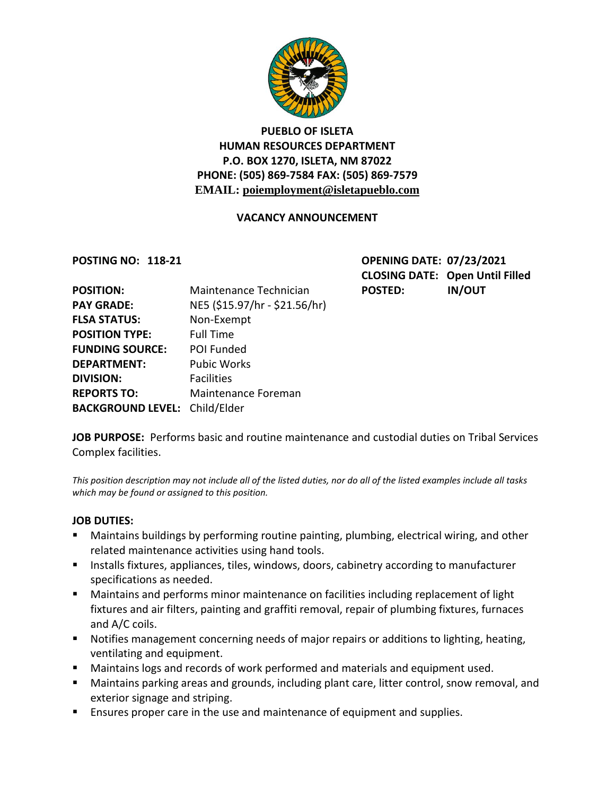

## **PUEBLO OF ISLETA HUMAN RESOURCES DEPARTMENT P.O. BOX 1270, ISLETA, NM 87022 PHONE: (505) 869-7584 FAX: (505) 869-7579 EMAIL: poiemployment@isletapueblo.com**

#### **VACANCY ANNOUNCEMENT**

**POSTING NO: 118-21 OPENING DATE: 07/23/2021 CLOSING DATE: Open Until Filled**

| <b>POSITION:</b>                     | Maintenance Technician        | <b>POSTED:</b> | <b>IN/OUT</b> |
|--------------------------------------|-------------------------------|----------------|---------------|
| <b>PAY GRADE:</b>                    | NE5 (\$15.97/hr - \$21.56/hr) |                |               |
| <b>FLSA STATUS:</b>                  | Non-Exempt                    |                |               |
| <b>POSITION TYPE:</b>                | <b>Full Time</b>              |                |               |
| <b>FUNDING SOURCE:</b>               | POI Funded                    |                |               |
| <b>DEPARTMENT:</b>                   | <b>Pubic Works</b>            |                |               |
| <b>DIVISION:</b>                     | <b>Facilities</b>             |                |               |
| <b>REPORTS TO:</b>                   | Maintenance Foreman           |                |               |
| <b>BACKGROUND LEVEL: Child/Elder</b> |                               |                |               |
|                                      |                               |                |               |

**JOB PURPOSE:** Performs basic and routine maintenance and custodial duties on Tribal Services Complex facilities.

*This position description may not include all of the listed duties, nor do all of the listed examples include all tasks which may be found or assigned to this position.*

#### **JOB DUTIES:**

- Maintains buildings by performing routine painting, plumbing, electrical wiring, and other related maintenance activities using hand tools.
- **Installs fixtures, appliances, tiles, windows, doors, cabinetry according to manufacturer** specifications as needed.
- **Maintains and performs minor maintenance on facilities including replacement of light** fixtures and air filters, painting and graffiti removal, repair of plumbing fixtures, furnaces and A/C coils.
- Notifies management concerning needs of major repairs or additions to lighting, heating, ventilating and equipment.
- Maintains logs and records of work performed and materials and equipment used.
- Maintains parking areas and grounds, including plant care, litter control, snow removal, and exterior signage and striping.
- **Ensures proper care in the use and maintenance of equipment and supplies.**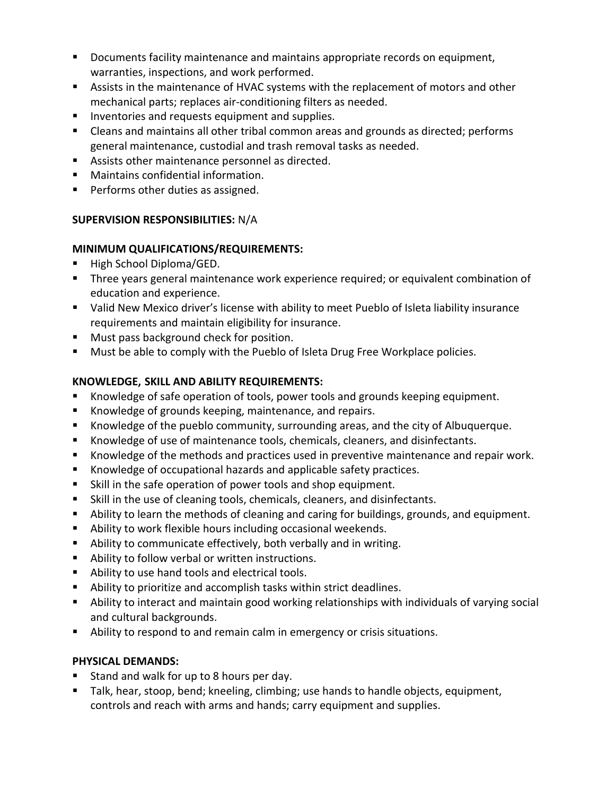- **Documents facility maintenance and maintains appropriate records on equipment,** warranties, inspections, and work performed.
- Assists in the maintenance of HVAC systems with the replacement of motors and other mechanical parts; replaces air-conditioning filters as needed.
- **IF** Inventories and requests equipment and supplies.
- Cleans and maintains all other tribal common areas and grounds as directed; performs general maintenance, custodial and trash removal tasks as needed.
- Assists other maintenance personnel as directed.
- Maintains confidential information.
- **Performs other duties as assigned.**

# **SUPERVISION RESPONSIBILITIES:** N/A

### **MINIMUM QUALIFICATIONS/REQUIREMENTS:**

- High School Diploma/GED.
- Three years general maintenance work experience required; or equivalent combination of education and experience.
- Valid New Mexico driver's license with ability to meet Pueblo of Isleta liability insurance requirements and maintain eligibility for insurance.
- **Must pass background check for position.**
- **Must be able to comply with the Pueblo of Isleta Drug Free Workplace policies.**

# **KNOWLEDGE, SKILL AND ABILITY REQUIREMENTS:**

- Knowledge of safe operation of tools, power tools and grounds keeping equipment.
- Knowledge of grounds keeping, maintenance, and repairs.
- Knowledge of the pueblo community, surrounding areas, and the city of Albuquerque.
- Knowledge of use of maintenance tools, chemicals, cleaners, and disinfectants.
- Knowledge of the methods and practices used in preventive maintenance and repair work.
- Knowledge of occupational hazards and applicable safety practices.
- Skill in the safe operation of power tools and shop equipment.
- Skill in the use of cleaning tools, chemicals, cleaners, and disinfectants.
- Ability to learn the methods of cleaning and caring for buildings, grounds, and equipment.
- Ability to work flexible hours including occasional weekends.
- Ability to communicate effectively, both verbally and in writing.
- Ability to follow verbal or written instructions.
- Ability to use hand tools and electrical tools.
- Ability to prioritize and accomplish tasks within strict deadlines.
- Ability to interact and maintain good working relationships with individuals of varying social and cultural backgrounds.
- Ability to respond to and remain calm in emergency or crisis situations.

### **PHYSICAL DEMANDS:**

- Stand and walk for up to 8 hours per day.
- Talk, hear, stoop, bend; kneeling, climbing; use hands to handle objects, equipment, controls and reach with arms and hands; carry equipment and supplies.